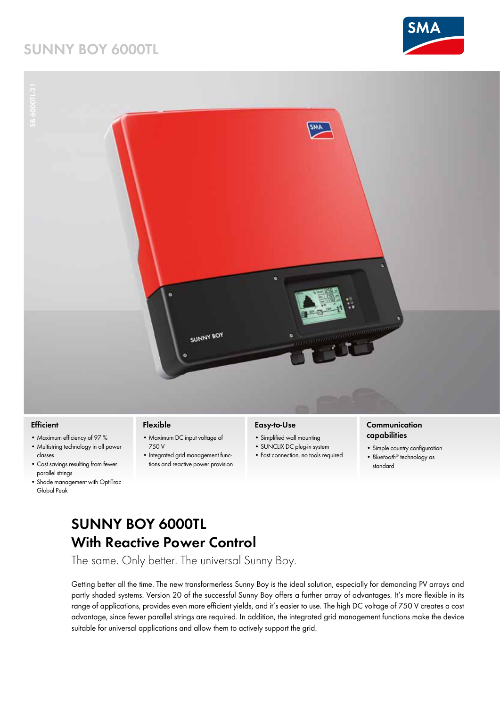# **SUNNY BOY 6000TL**





- **Efficient**
- Maximum efficiency of 97 %
- Multistring technology in all power classes
- Cost savings resulting from fewer parallel strings
- Shade management with OptiTrac Global Peak

### **Flexible**

- Maximum DC input voltage of 750 V
- Integrated grid management functions and reactive power provision

#### **Easy-to-Use**

- Simplified wall mounting
- SUNCLIX DC plug-in system
- Fast connection, no tools required

### **Communication capabilities**

- Simple country configuration
- *Bluetooth*® technology as standard

# **SUNNY BOY 6000TL With Reactive Power Control**

The same. Only better. The universal Sunny Boy.

Getting better all the time. The new transformerless Sunny Boy is the ideal solution, especially for demanding PV arrays and partly shaded systems. Version 20 of the successful Sunny Boy offers a further array of advantages. It's more flexible in its range of applications, provides even more efficient yields, and it's easier to use. The high DC voltage of 750 V creates a cost advantage, since fewer parallel strings are required. In addition, the integrated grid management functions make the device suitable for universal applications and allow them to actively support the grid.